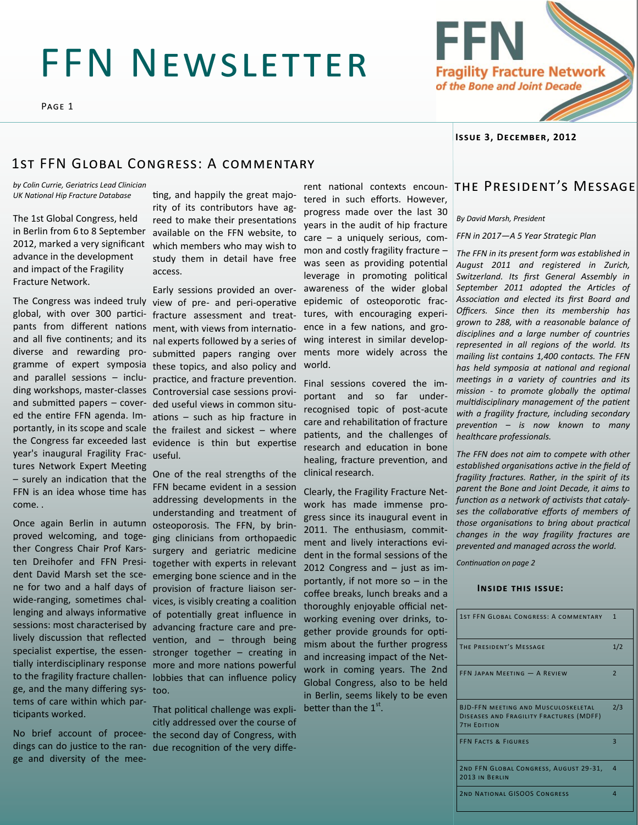# FFN NEWSLETTER

Page 1



**Issue 3, December, 2012**

### 1st FFN Global Congress: A commentary

*by Colin Currie, Geriatrics Lead Clinician UK National Hip Fracture Database*

The 1st Global Congress, held in Berlin from 6 to 8 September 2012, marked a very significant advance in the development and impact of the Fragility Fracture Network.

year's inaugural Fragility Frac-useful. tures Network Expert Meeting – surely an indication that the FFN is an idea whose time has come. .

Once again Berlin in autumn proved welcoming, and together Congress Chair Prof Karsten Dreihofer and FFN President David Marsh set the scene for two and a half days of wide-ranging, sometimes challenging and always informative sessions: most characterised by lively discussion that reflected specialist expertise, the essenge, and the many differing sys-too. tems of care within which participants worked.

ge and diversity of the mee-

ting, and happily the great majority of its contributors have agreed to make their presentations available on the FFN website, to which members who may wish to study them in detail have free access.

The Congress was indeed truly view of pre- and peri-operative global, with over 300 partici-fracture assessment and treatpants from different nations ment, with views from internatioand all five continents; and its nal experts followed by a series of diverse and rewarding pro-submitted papers ranging over gramme of expert symposia these topics, and also policy and and parallel sessions – inclu-practice, and fracture prevention. ding workshops, master-classes Controversial case sessions proviand submitted papers – cover-ded useful views in common situed the entire FFN agenda. Im-ations – such as hip fracture in portantly, in its scope and scale the frailest and sickest – where the Congress far exceeded last evidence is thin but expertise Early sessions provided an over-

tially interdisciplinary response more and more nations powerful to the fragility fracture challen-lobbies that can influence policy One of the real strengths of the FFN became evident in a session addressing developments in the understanding and treatment of osteoporosis. The FFN, by bringing clinicians from orthopaedic surgery and geriatric medicine together with experts in relevant emerging bone science and in the provision of fracture liaison services, is visibly creating a coalition of potentially great influence in advancing fracture care and prevention, and – through being stronger together – creating in

No brief account of procee-the second day of Congress, with dings can do justice to the ran-due recognition of the very diffe-That political challenge was explicitly addressed over the course of

tered in such efforts. However, progress made over the last 30 years in the audit of hip fracture care – a uniquely serious, common and costly fragility fracture – was seen as providing potential leverage in promoting political awareness of the wider global epidemic of osteoporotic fractures, with encouraging experience in a few nations, and growing interest in similar developments more widely across the world.

Final sessions covered the important and so far underrecognised topic of post-acute care and rehabilitation of fracture patients, and the challenges of research and education in bone healing, fracture prevention, and clinical research.

Clearly, the Fragility Fracture Network has made immense progress since its inaugural event in 2011. The enthusiasm, commitment and lively interactions evident in the formal sessions of the 2012 Congress and – just as importantly, if not more so  $-$  in the coffee breaks, lunch breaks and a thoroughly enjoyable official networking evening over drinks, together provide grounds for optimism about the further progress and increasing impact of the Network in coming years. The 2nd Global Congress, also to be held in Berlin, seems likely to be even better than the  $1<sup>st</sup>$ .

### rent national contexts encoun- THE PRESIDENT'S MESSAGE

*By David Marsh, President*

*FFN in 2017—A 5 Year Strategic Plan*

*The FFN in its present form was established in August 2011 and registered in Zurich, Switzerland. Its first General Assembly in September 2011 adopted the Articles of Association and elected its first Board and Officers. Since then its membership has grown to 288, with a reasonable balance of disciplines and a large number of countries represented in all regions of the world. Its mailing list contains 1,400 contacts. The FFN has held symposia at national and regional meetings in a variety of countries and its mission - to promote globally the optimal multidisciplinary management of the patient with a fragility fracture, including secondary prevention – is now known to many healthcare professionals.* 

*The FFN does not aim to compete with other established organisations active in the field of fragility fractures. Rather, in the spirit of its parent the Bone and Joint Decade, it aims to function as a network of activists that catalyses the collaborative efforts of members of those organisations to bring about practical changes in the way fragility fractures are prevented and managed across the world.*

*Continuation on page 2*

#### **Inside this issue:**

| 1ST FFN GLOBAL CONGRESS: A COMMENTARY                                                                       | $\mathbf{1}$             |
|-------------------------------------------------------------------------------------------------------------|--------------------------|
| THE PRESIDENT'S MESSAGE                                                                                     | 1/2                      |
| FFN JAPAN MEETING - A REVIEW                                                                                | $\overline{\phantom{0}}$ |
| <b>BJD-FFN MEETING AND MUSCULOSKELETAL</b><br>DISEASES AND FRAGILITY FRACTURES (MDFF)<br><b>7TH EDITION</b> | 2/3                      |
| <b>FFN FACTS &amp; FIGURES</b>                                                                              | $\overline{\mathbf{3}}$  |
| 2ND FFN GLOBAL CONGRESS, AUGUST 29-31,<br>2013 IN BERLIN                                                    | 4                        |
| <b>2ND NATIONAL GISOOS CONGRESS</b>                                                                         | 4                        |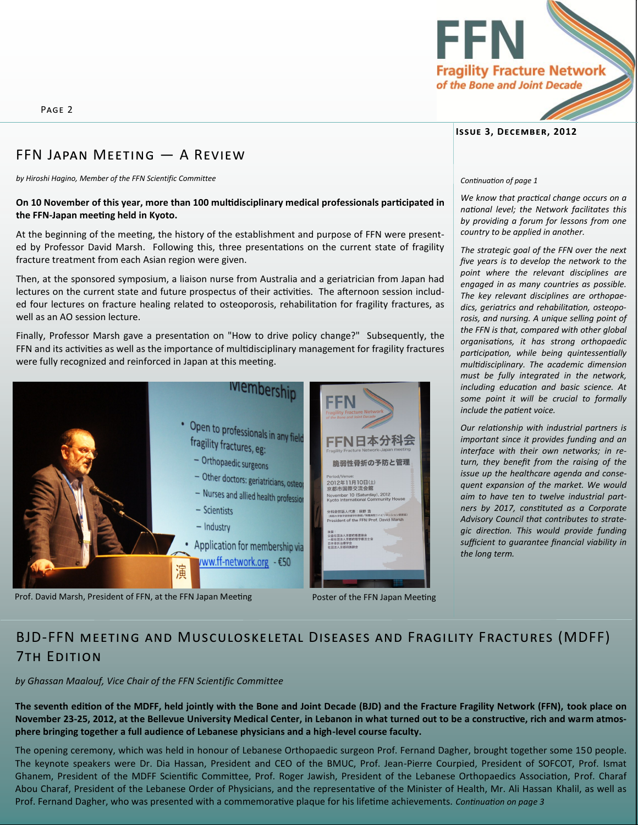Page 2

# FFN Japan Meeting — A Review

*by Hiroshi Hagino, Member of the FFN Scientific Committee*

### **On 10 November of this year, more than 100 multidisciplinary medical professionals participated in the FFN-Japan meeting held in Kyoto.**

At the beginning of the meeting, the history of the establishment and purpose of FFN were presented by Professor David Marsh. Following this, three presentations on the current state of fragility fracture treatment from each Asian region were given.

Then, at the sponsored symposium, a liaison nurse from Australia and a geriatrician from Japan had lectures on the current state and future prospectus of their activities. The afternoon session included four lectures on fracture healing related to osteoporosis, rehabilitation for fragility fractures, as well as an AO session lecture.

Finally, Professor Marsh gave a presentation on "How to drive policy change?" Subsequently, the FFN and its activities as well as the importance of multidisciplinary management for fragility fractures were fully recognized and reinforced in Japan at this meeting.



Prof. David Marsh, President of FFN, at the FFN Japan Meeting Poster of the FFN Japan Meeting

# BJD-FFN meeting and Musculoskeletal Diseases and Fragility Fractures (MDFF) 7th Edition

*by Ghassan Maalouf, Vice Chair of the FFN Scientific Committee*

**The seventh edition of the MDFF, held jointly with the Bone and Joint Decade (BJD) and the Fracture Fragility Network (FFN), took place on November 23-25, 2012, at the Bellevue University Medical Center, in Lebanon in what turned out to be a constructive, rich and warm atmosphere bringing together a full audience of Lebanese physicians and a high-level course faculty.**

The opening ceremony, which was held in honour of Lebanese Orthopaedic surgeon Prof. Fernand Dagher, brought together some 150 people. The keynote speakers were Dr. Dia Hassan, President and CEO of the BMUC, Prof. Jean-Pierre Courpied, President of SOFCOT, Prof. Ismat Ghanem, President of the MDFF Scientific Committee, Prof. Roger Jawish, President of the Lebanese Orthopaedics Association, Prof. Charaf Abou Charaf, President of the Lebanese Order of Physicians, and the representative of the Minister of Health, Mr. Ali Hassan Khalil, as well as Prof. Fernand Dagher, who was presented with a commemorative plaque for his lifetime achievements. *Continuation on page 3*



#### *Continuation of page 1*

*We know that practical change occurs on a national level; the Network facilitates this by providing a forum for lessons from one country to be applied in another.* 

*The strategic goal of the FFN over the next five years is to develop the network to the point where the relevant disciplines are engaged in as many countries as possible. The key relevant disciplines are orthopaedics, geriatrics and rehabilitation, osteoporosis, and nursing. A unique selling point of the FFN is that, compared with other global organisations, it has strong orthopaedic participation, while being quintessentially multidisciplinary. The academic dimension must be fully integrated in the network, including education and basic science. At some point it will be crucial to formally include the patient voice.* 

*Our relationship with industrial partners is important since it provides funding and an interface with their own networks; in return, they benefit from the raising of the issue up the healthcare agenda and consequent expansion of the market. We would aim to have ten to twelve industrial partners by 2017, constituted as a Corporate Advisory Council that contributes to strategic direction. This would provide funding sufficient to guarantee financial viability in the long term.* 

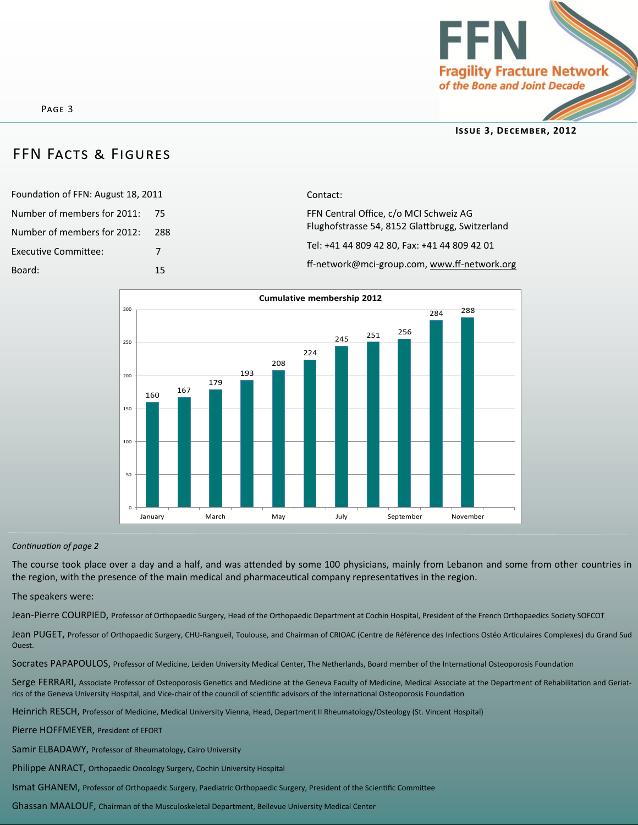

### FFN Facts & Figures

| Foundation of FFN: August 18, 2011 |     |
|------------------------------------|-----|
| Number of members for 2011:        | 75  |
| Number of members for 2012:        | 288 |
| <b>Executive Committee:</b>        | 7   |
| Board:                             | 15  |

Contact: FFN Central Office, c/o MCI Schweiz AG Flughofstrasse 54, 8152 Glattbrugg, Switzerland Tel: +41 44 809 42 80, Fax: +41 44 809 42 01 ff-network@mci-group.com, www.ff-network.org



### *Continuation of page 2*

The course took place over a day and a half, and was attended by some 100 physicians, mainly from Lebanon and some from other countries in the region, with the presence of the main medical and pharmaceutical company representatives in the region.

#### The speakers were:

Jean-Pierre COURPIED, Professor of Orthopaedic Surgery, Head of the Orthopaedic Department at Cochin Hospital, President of the French Orthopaedics Society SOFCOT

Jean PUGET, Professor of Orthopaedic Surgery, CHU-Rangueil, Toulouse, and Chairman of CRIOAC (Centre de Référence des Infections Ostéo Articulaires Complexes) du Grand Sud Ouest.

Socrates PAPAPOULOS, Professor of Medicine, Leiden University Medical Center, The Netherlands, Board member of the International Osteoporosis Foundation

Serge FERRARI, Associate Professor of Osteoporosis Genetics and Medicine at the Geneva Faculty of Medicine, Medical Associate at the Department of Rehabilitation and Geriatrics of the Geneva University Hospital, and Vice-chair of the council of scientific advisors of the International Osteoporosis Foundation

Heinrich RESCH, Professor of Medicine, Medical University Vienna, Head, Department II Rheumatology/Osteology (St. Vincent Hospital)

Pierre HOFFMEYER, President of EFORT

Samir ELBADAWY, Professor of Rheumatology, Cairo University

Philippe ANRACT, Orthopaedic Oncology Surgery, Cochin University Hospital

Ismat GHANEM, Professor of Orthopaedic Surgery, Paediatric Orthopaedic Surgery, President of the Scientific Committee

Ghassan MAALOUF, Chairman of the Musculoskeletal Department, Bellevue University Medical Center